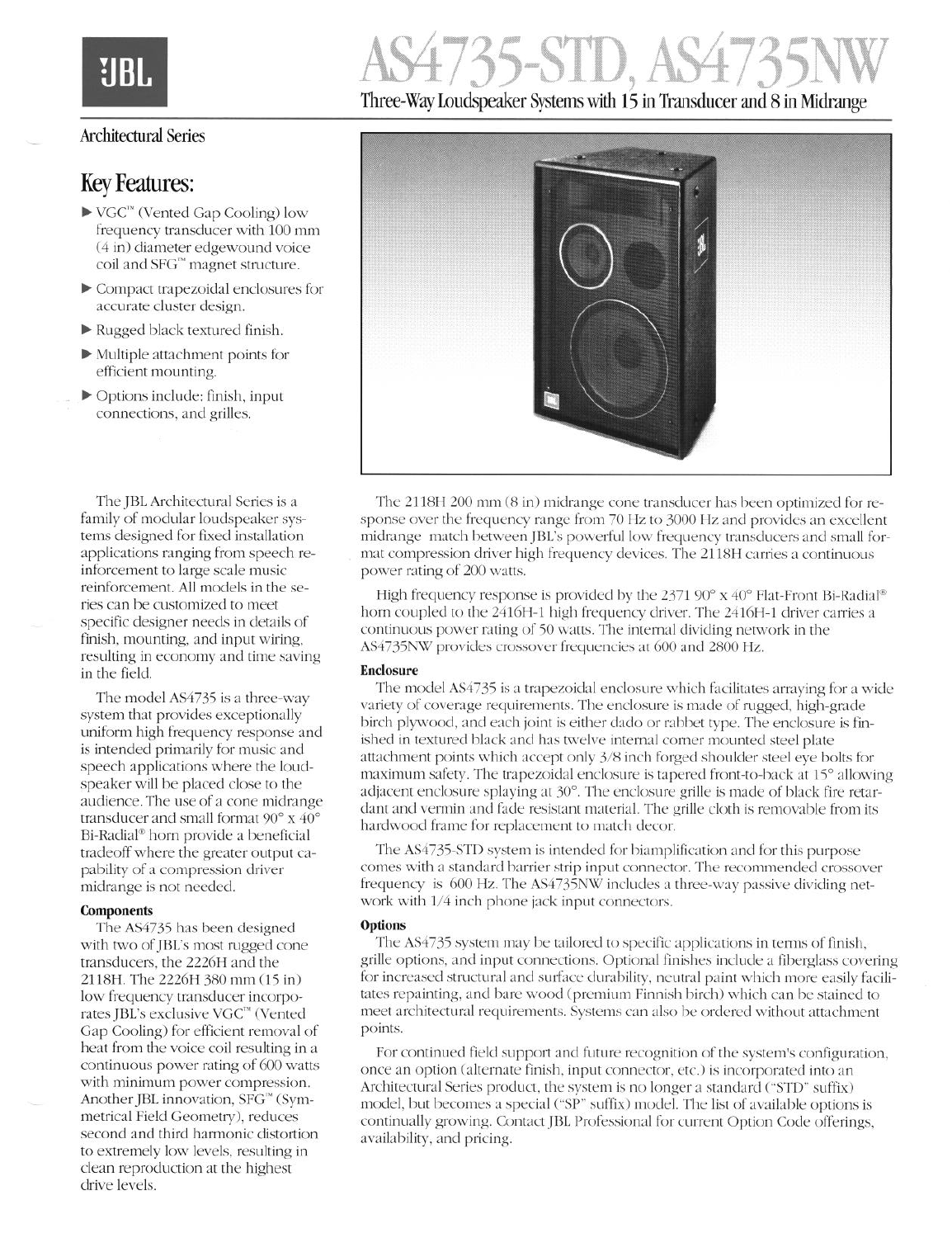# 735-SID. *F* Three-Way Loudspeaker Systems with 15 in Transducer and 8 in Midrange

### Architectural Series

### Key Features:

- $\blacktriangleright$  VGC<sup>™</sup> (Vented Gap Cooling) low frequency transducer with 100 mm (4 in) diameter edgewound voice coil and SFG'" magnet structure.
- b Compact trapezoidal enclosures for accurate cluster design.
- $\blacktriangleright$  Rugged black textured finish.
- $\blacktriangleright$  Multiple attachment points for efficient mounting.
- $\triangleright$  Options include: finish, input connections, and grilles.

The JBL Architectural Series is a family of modular loudspeaker systems designed for fixed installation applications ranging from speech reinforcement to large scale music reinforcement. All models in the series can be customized to meet specific designer needs in details of finish, mounting, and input wiring, resulting in economy and time saving in the field.

The model AS4735 is a three-way system that provides exceptionally uniform high frequency response and is intended primarily for music and speech applications where the loudspeaker will be placed close to the audience. The use of a cone midrange transducer and small format 90° x 40° Bi-Radial<sup>®</sup> horn provide a beneficial tradeoff where the greater output capability of a compression driver midrange is not needed.

#### **Components**

The AS4735 has been designed with two of JBL's most rugged cone transducers, the 2226H and the 2118H. The 2226H 380 mm (15 in) low frequency transducer incorporates JBL's exclusive VGC'" (Vented Gap Cooling) for efficient removal of heat from the voice coil resulting in a continuous power rating of 600 watts with minimum power compression. Another JBL innovation, SFG'" (Symmetrical Field Geometry), reduces second and third harmonic distortion to extremely low levels, resulting in clean reproduction at the highest drive levels.



The 2118H 200 mm (8 in) midrange cone transducer has been optimized for response over the frequency range from 70 Hz to 3000 Hz and provides an excellent midrange match between JBL's powerful low frequency transducers and small format compression driver high frequency devices. The 2118H carries a continuous power rating of 200 watts.

High frequency response is provided by the 2371 90 $\degree$  x 40 $\degree$  Flat-Front Bi-Radial $\degree$ horn coupled to the 2416H-1 high frequency driver. The 2416H-1 driver carries a continuous power rating of 50 watts. The internal dividing network in the AS4735NW provides crossover frequencies at 600 and 2800 Hz.

#### **Enclosure**

The model AS4735 is a trapezoidal enclosure which facilitates arraying for a wide variety of coverage requirements. The enclosure is made of rugged, high-grade birch plywood, and each joint is either dado or rabbet type. The enclosure is finished in textured black and has twelve internal corner mounted steel plate attachment points which accept only 3/8 inch forged shoulder steel eye bolts for maximum safety. The trapezoidal enclosure is tapered front-to-back at 15° allowing adjacent enclosure splaying at 30". The enclosure grille is made of black fire retardant and vermin and fade resistant material. The grille cloth is removable from its hardwood frame for replacement to match decor.

The AS4735-STD system is intended for biamplification and for this purpose comes with a standard barrier strip input connector. The recommended crossover frequency is 600 Hz. The AS4735NW includes a three-way passive dividing network with l/4 inch phone jack input connectors.

#### **options**

The AS4735 system may be tailored to specific applications in terms of finish, grille options, and input connections. Optional finishes include a fiberglass covering for increased structural and surface durability, neutral paint which more easily facilitates repainting, and bare wood (premium Finnish birch) which can be stained to meet architectural requirements. Systems can also be ordered without attachment points.

For continued field support and future recognition of the system's configuration, once an option (alternate finish, input connector, etc.) is incorporated into an Architectural Series product, the system is no longer a standard ("STD" suffix) model, but becomes a special ("SP" suffix) model. The list of available options is continually growing. Contact JBL Professional for current Option Code offerings, availability, and pricing.